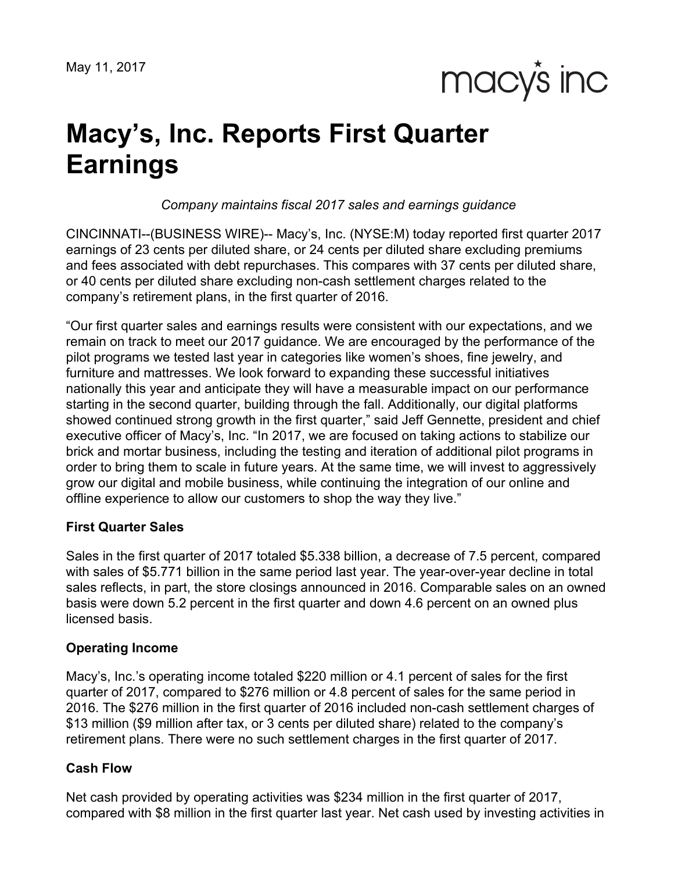May 11, 2017

macy's inc

# **Macy's, Inc. Reports First Quarter Earnings**

*Company maintains fiscal 2017 sales and earnings guidance*

CINCINNATI--(BUSINESS WIRE)-- Macy's, Inc. (NYSE:M) today reported first quarter 2017 earnings of 23 cents per diluted share, or 24 cents per diluted share excluding premiums and fees associated with debt repurchases. This compares with 37 cents per diluted share, or 40 cents per diluted share excluding non-cash settlement charges related to the company's retirement plans, in the first quarter of 2016.

"Our first quarter sales and earnings results were consistent with our expectations, and we remain on track to meet our 2017 guidance. We are encouraged by the performance of the pilot programs we tested last year in categories like women's shoes, fine jewelry, and furniture and mattresses. We look forward to expanding these successful initiatives nationally this year and anticipate they will have a measurable impact on our performance starting in the second quarter, building through the fall. Additionally, our digital platforms showed continued strong growth in the first quarter," said Jeff Gennette, president and chief executive officer of Macy's, Inc. "In 2017, we are focused on taking actions to stabilize our brick and mortar business, including the testing and iteration of additional pilot programs in order to bring them to scale in future years. At the same time, we will invest to aggressively grow our digital and mobile business, while continuing the integration of our online and offline experience to allow our customers to shop the way they live."

#### **First Quarter Sales**

Sales in the first quarter of 2017 totaled \$5.338 billion, a decrease of 7.5 percent, compared with sales of \$5.771 billion in the same period last year. The year-over-year decline in total sales reflects, in part, the store closings announced in 2016. Comparable sales on an owned basis were down 5.2 percent in the first quarter and down 4.6 percent on an owned plus licensed basis.

#### **Operating Income**

Macy's, Inc.'s operating income totaled \$220 million or 4.1 percent of sales for the first quarter of 2017, compared to \$276 million or 4.8 percent of sales for the same period in 2016. The \$276 million in the first quarter of 2016 included non-cash settlement charges of \$13 million (\$9 million after tax, or 3 cents per diluted share) related to the company's retirement plans. There were no such settlement charges in the first quarter of 2017.

#### **Cash Flow**

Net cash provided by operating activities was \$234 million in the first quarter of 2017, compared with \$8 million in the first quarter last year. Net cash used by investing activities in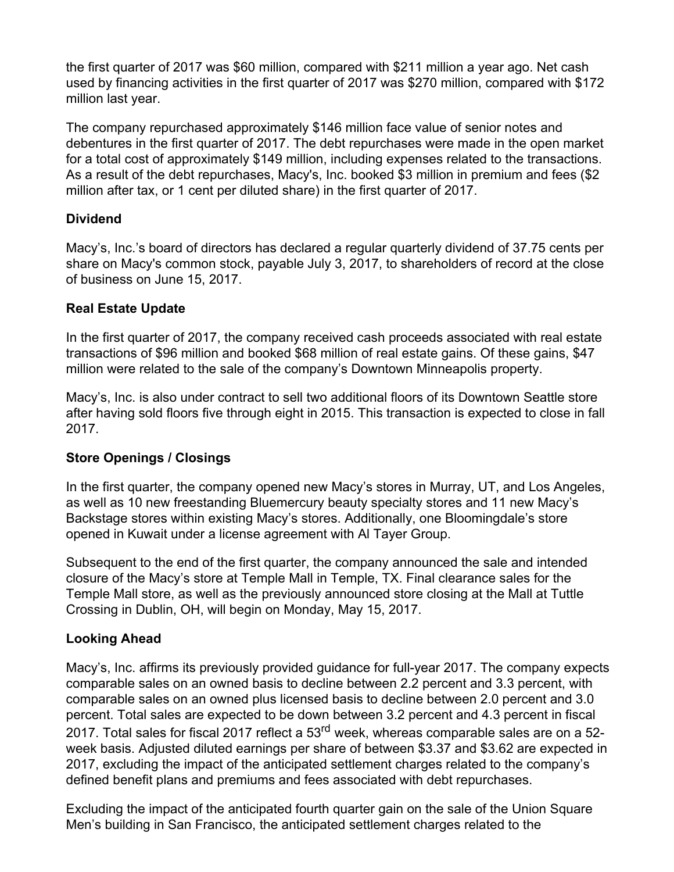the first quarter of 2017 was \$60 million, compared with \$211 million a year ago. Net cash used by financing activities in the first quarter of 2017 was \$270 million, compared with \$172 million last year.

The company repurchased approximately \$146 million face value of senior notes and debentures in the first quarter of 2017. The debt repurchases were made in the open market for a total cost of approximately \$149 million, including expenses related to the transactions. As a result of the debt repurchases, Macy's, Inc. booked \$3 million in premium and fees (\$2 million after tax, or 1 cent per diluted share) in the first quarter of 2017.

## **Dividend**

Macy's, Inc.'s board of directors has declared a regular quarterly dividend of 37.75 cents per share on Macy's common stock, payable July 3, 2017, to shareholders of record at the close of business on June 15, 2017.

## **Real Estate Update**

In the first quarter of 2017, the company received cash proceeds associated with real estate transactions of \$96 million and booked \$68 million of real estate gains. Of these gains, \$47 million were related to the sale of the company's Downtown Minneapolis property.

Macy's, Inc. is also under contract to sell two additional floors of its Downtown Seattle store after having sold floors five through eight in 2015. This transaction is expected to close in fall 2017.

## **Store Openings / Closings**

In the first quarter, the company opened new Macy's stores in Murray, UT, and Los Angeles, as well as 10 new freestanding Bluemercury beauty specialty stores and 11 new Macy's Backstage stores within existing Macy's stores. Additionally, one Bloomingdale's store opened in Kuwait under a license agreement with Al Tayer Group.

Subsequent to the end of the first quarter, the company announced the sale and intended closure of the Macy's store at Temple Mall in Temple, TX. Final clearance sales for the Temple Mall store, as well as the previously announced store closing at the Mall at Tuttle Crossing in Dublin, OH, will begin on Monday, May 15, 2017.

## **Looking Ahead**

Macy's, Inc. affirms its previously provided guidance for full-year 2017. The company expects comparable sales on an owned basis to decline between 2.2 percent and 3.3 percent, with comparable sales on an owned plus licensed basis to decline between 2.0 percent and 3.0 percent. Total sales are expected to be down between 3.2 percent and 4.3 percent in fiscal 2017. Total sales for fiscal 2017 reflect a 53<sup>rd</sup> week, whereas comparable sales are on a 52week basis. Adjusted diluted earnings per share of between \$3.37 and \$3.62 are expected in 2017, excluding the impact of the anticipated settlement charges related to the company's defined benefit plans and premiums and fees associated with debt repurchases.

Excluding the impact of the anticipated fourth quarter gain on the sale of the Union Square Men's building in San Francisco, the anticipated settlement charges related to the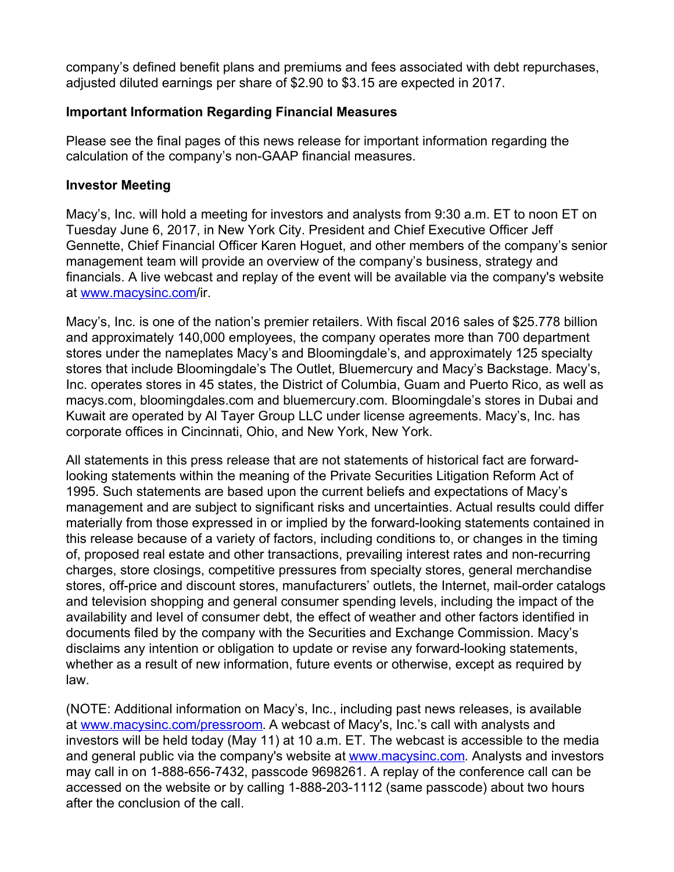company's defined benefit plans and premiums and fees associated with debt repurchases, adjusted diluted earnings per share of \$2.90 to \$3.15 are expected in 2017.

## **Important Information Regarding Financial Measures**

Please see the final pages of this news release for important information regarding the calculation of the company's non-GAAP financial measures.

## **Investor Meeting**

Macy's, Inc. will hold a meeting for investors and analysts from 9:30 a.m. ET to noon ET on Tuesday June 6, 2017, in New York City. President and Chief Executive Officer Jeff Gennette, Chief Financial Officer Karen Hoguet, and other members of the company's senior management team will provide an overview of the company's business, strategy and financials. A live webcast and replay of the event will be available via the company's website at [www.macysinc.com](http://www.macysinc.com)/ir.

Macy's, Inc. is one of the nation's premier retailers. With fiscal 2016 sales of \$25.778 billion and approximately 140,000 employees, the company operates more than 700 department stores under the nameplates Macy's and Bloomingdale's, and approximately 125 specialty stores that include Bloomingdale's The Outlet, Bluemercury and Macy's Backstage. Macy's, Inc. operates stores in 45 states, the District of Columbia, Guam and Puerto Rico, as well as macys.com, bloomingdales.com and bluemercury.com. Bloomingdale's stores in Dubai and Kuwait are operated by Al Tayer Group LLC under license agreements. Macy's, Inc. has corporate offices in Cincinnati, Ohio, and New York, New York.

All statements in this press release that are not statements of historical fact are forwardlooking statements within the meaning of the Private Securities Litigation Reform Act of 1995. Such statements are based upon the current beliefs and expectations of Macy's management and are subject to significant risks and uncertainties. Actual results could differ materially from those expressed in or implied by the forward-looking statements contained in this release because of a variety of factors, including conditions to, or changes in the timing of, proposed real estate and other transactions, prevailing interest rates and non-recurring charges, store closings, competitive pressures from specialty stores, general merchandise stores, off-price and discount stores, manufacturers' outlets, the Internet, mail-order catalogs and television shopping and general consumer spending levels, including the impact of the availability and level of consumer debt, the effect of weather and other factors identified in documents filed by the company with the Securities and Exchange Commission. Macy's disclaims any intention or obligation to update or revise any forward-looking statements, whether as a result of new information, future events or otherwise, except as required by law.

(NOTE: Additional information on Macy's, Inc., including past news releases, is available at [www.macysinc.com/pressroom](http://www.macysinc.com/pressroom). A webcast of Macy's, Inc.'s call with analysts and investors will be held today (May 11) at 10 a.m. ET. The webcast is accessible to the media and general public via the company's website at [www.macysinc.com](http://www.macysinc.com). Analysts and investors may call in on 1-888-656-7432, passcode 9698261. A replay of the conference call can be accessed on the website or by calling 1-888-203-1112 (same passcode) about two hours after the conclusion of the call.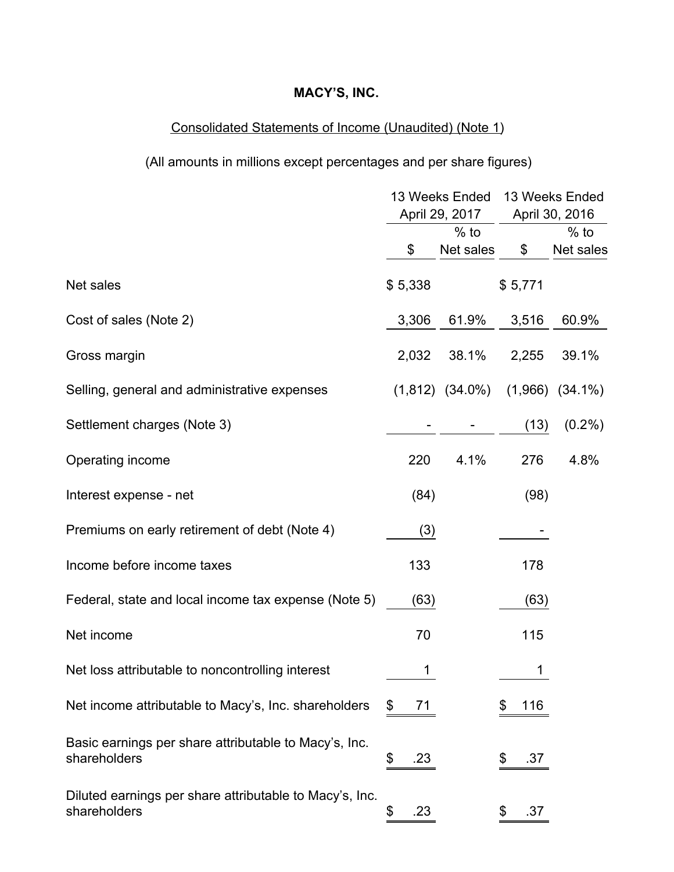## **MACY'S, INC.**

## Consolidated Statements of Income (Unaudited) (Note 1)

## (All amounts in millions except percentages and per share figures)

|                                                                         |           | 13 Weeks Ended<br>April 29, 2017 | 13 Weeks Ended<br>April 30, 2016 |                      |  |
|-------------------------------------------------------------------------|-----------|----------------------------------|----------------------------------|----------------------|--|
|                                                                         | \$        | $%$ to<br>Net sales              | \$                               | $%$ to<br>Net sales  |  |
| Net sales                                                               | \$5,338   |                                  | \$5,771                          |                      |  |
| Cost of sales (Note 2)                                                  | 3,306     | 61.9%                            | 3,516                            | 60.9%                |  |
| Gross margin                                                            | 2,032     | 38.1%                            | 2,255                            | 39.1%                |  |
| Selling, general and administrative expenses                            |           | $(1,812)$ $(34.0\%)$             |                                  | $(1,966)$ $(34.1\%)$ |  |
| Settlement charges (Note 3)                                             |           |                                  | (13)                             | $(0.2\%)$            |  |
| Operating income                                                        | 220       | 4.1%                             | 276                              | 4.8%                 |  |
| Interest expense - net                                                  | (84)      |                                  | (98)                             |                      |  |
| Premiums on early retirement of debt (Note 4)                           | (3)       |                                  |                                  |                      |  |
| Income before income taxes                                              | 133       |                                  | 178                              |                      |  |
| Federal, state and local income tax expense (Note 5)                    | (63)      |                                  | (63)                             |                      |  |
| Net income                                                              | 70        |                                  | 115                              |                      |  |
| Net loss attributable to noncontrolling interest                        | 1         |                                  | 1                                |                      |  |
| Net income attributable to Macy's, Inc. shareholders                    | 71        |                                  | 116                              |                      |  |
| Basic earnings per share attributable to Macy's, Inc.<br>shareholders   | \$<br>.23 |                                  | .37                              |                      |  |
| Diluted earnings per share attributable to Macy's, Inc.<br>shareholders | \$<br>.23 |                                  | .37<br>\$                        |                      |  |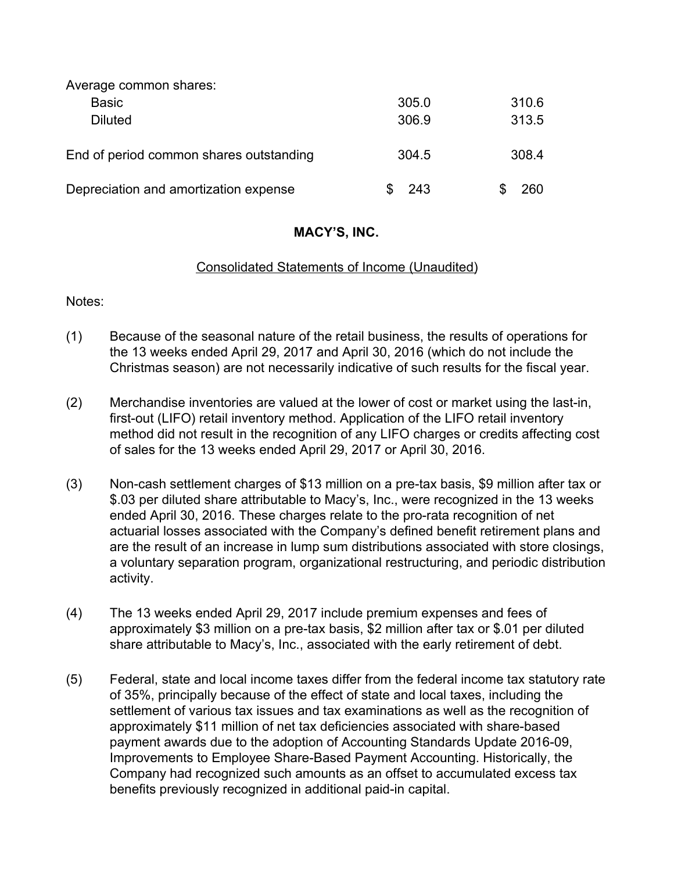| Average common shares:                  |       |       |
|-----------------------------------------|-------|-------|
| <b>Basic</b>                            | 305.0 | 310.6 |
| <b>Diluted</b>                          | 306.9 | 313.5 |
| End of period common shares outstanding | 304.5 | 308.4 |
| Depreciation and amortization expense   | 243   | 260   |

## **MACY'S, INC.**

#### Consolidated Statements of Income (Unaudited)

Notes:

- (1) Because of the seasonal nature of the retail business, the results of operations for the 13 weeks ended April 29, 2017 and April 30, 2016 (which do not include the Christmas season) are not necessarily indicative of such results for the fiscal year.
- (2) Merchandise inventories are valued at the lower of cost or market using the last-in, first-out (LIFO) retail inventory method. Application of the LIFO retail inventory method did not result in the recognition of any LIFO charges or credits affecting cost of sales for the 13 weeks ended April 29, 2017 or April 30, 2016.
- (3) Non-cash settlement charges of \$13 million on a pre-tax basis, \$9 million after tax or \$.03 per diluted share attributable to Macy's, Inc., were recognized in the 13 weeks ended April 30, 2016. These charges relate to the pro-rata recognition of net actuarial losses associated with the Company's defined benefit retirement plans and are the result of an increase in lump sum distributions associated with store closings, a voluntary separation program, organizational restructuring, and periodic distribution activity.
- (4) The 13 weeks ended April 29, 2017 include premium expenses and fees of approximately \$3 million on a pre-tax basis, \$2 million after tax or \$.01 per diluted share attributable to Macy's, Inc., associated with the early retirement of debt.
- (5) Federal, state and local income taxes differ from the federal income tax statutory rate of 35%, principally because of the effect of state and local taxes, including the settlement of various tax issues and tax examinations as well as the recognition of approximately \$11 million of net tax deficiencies associated with share-based payment awards due to the adoption of Accounting Standards Update 2016-09, Improvements to Employee Share-Based Payment Accounting. Historically, the Company had recognized such amounts as an offset to accumulated excess tax benefits previously recognized in additional paid-in capital.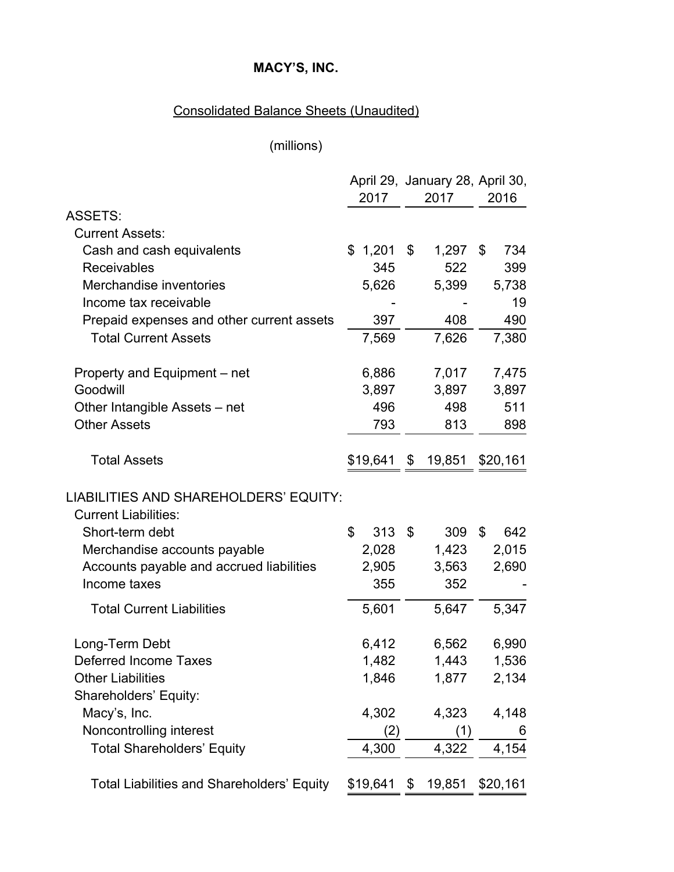## **MACY'S, INC.**

## Consolidated Balance Sheets (Unaudited)

# (millions)

|                                                   |                     |               |        | April 29, January 28, April 30, |
|---------------------------------------------------|---------------------|---------------|--------|---------------------------------|
|                                                   | 2017                |               | 2017   | 2016                            |
| <b>ASSETS:</b>                                    |                     |               |        |                                 |
| <b>Current Assets:</b>                            |                     |               |        |                                 |
| Cash and cash equivalents                         | \$1,201             | - \$          | 1,297  | 734<br>\$                       |
| <b>Receivables</b>                                | 345                 |               | 522    | 399                             |
| Merchandise inventories                           | 5,626               |               | 5,399  | 5,738                           |
| Income tax receivable                             |                     |               |        | 19                              |
| Prepaid expenses and other current assets         | 397                 |               | 408    | 490                             |
| <b>Total Current Assets</b>                       | 7,569               |               | 7,626  | 7,380                           |
| Property and Equipment – net                      | 6,886               |               | 7,017  | 7,475                           |
| Goodwill                                          | 3,897               |               | 3,897  | 3,897                           |
| Other Intangible Assets – net                     | 496                 |               | 498    | 511                             |
| <b>Other Assets</b>                               | 793                 |               | 813    | 898                             |
| <b>Total Assets</b>                               | \$19,641            | $\mathfrak s$ | 19,851 | \$20,161                        |
| LIABILITIES AND SHAREHOLDERS' EQUITY:             |                     |               |        |                                 |
| <b>Current Liabilities:</b>                       |                     |               |        |                                 |
| Short-term debt                                   | $\mathbb{S}$<br>313 | \$            | 309    | \$<br>642                       |
| Merchandise accounts payable                      | 2,028               |               | 1,423  | 2,015                           |
| Accounts payable and accrued liabilities          | 2,905               |               | 3,563  | 2,690                           |
| Income taxes                                      | 355                 |               | 352    |                                 |
| <b>Total Current Liabilities</b>                  | 5,601               |               | 5,647  | 5,347                           |
| Long-Term Debt                                    | 6,412               |               | 6,562  | 6,990                           |
| <b>Deferred Income Taxes</b>                      | 1,482               |               | 1,443  | 1,536                           |
| <b>Other Liabilities</b>                          | 1,846               |               | 1,877  | 2,134                           |
| Shareholders' Equity:                             |                     |               |        |                                 |
| Macy's, Inc.                                      | 4,302               |               | 4,323  | 4,148                           |
| Noncontrolling interest                           | (2)                 |               | (1)    | 6                               |
| <b>Total Shareholders' Equity</b>                 | 4,300               |               | 4,322  | 4,154                           |
| <b>Total Liabilities and Shareholders' Equity</b> | \$19,641            | \$            | 19,851 | \$20,161                        |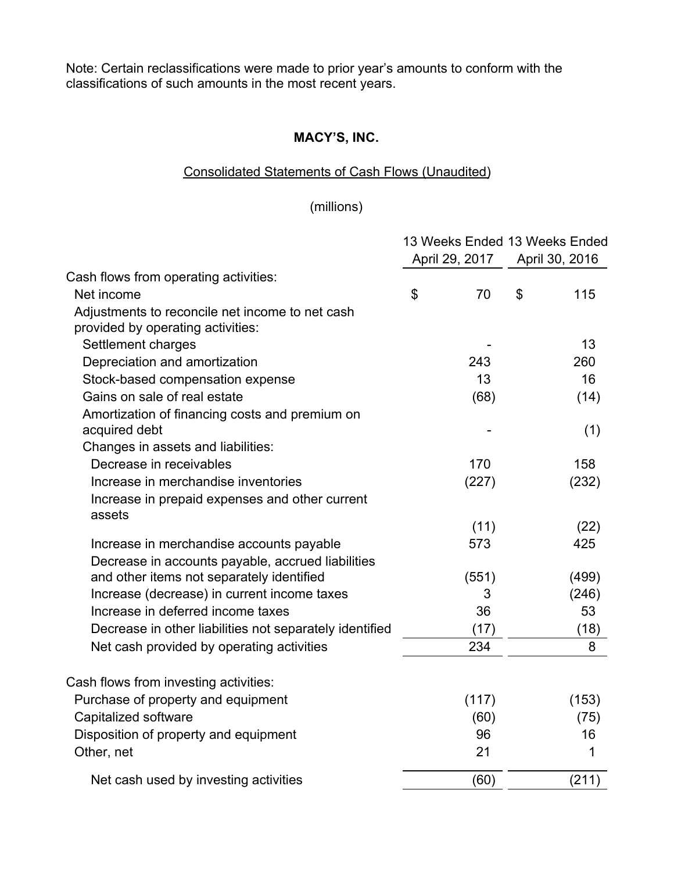Note: Certain reclassifications were made to prior year's amounts to conform with the classifications of such amounts in the most recent years.

## **MACY'S, INC.**

## Consolidated Statements of Cash Flows (Unaudited)

## (millions)

|                                                                                  |                | 13 Weeks Ended 13 Weeks Ended |                |
|----------------------------------------------------------------------------------|----------------|-------------------------------|----------------|
|                                                                                  | April 29, 2017 |                               | April 30, 2016 |
| Cash flows from operating activities:                                            |                |                               |                |
| Net income                                                                       | \$<br>70       | $\mathfrak{S}$                | 115            |
| Adjustments to reconcile net income to net cash                                  |                |                               |                |
| provided by operating activities:                                                |                |                               |                |
| Settlement charges                                                               |                |                               | 13             |
| Depreciation and amortization                                                    | 243            |                               | 260            |
| Stock-based compensation expense                                                 | 13             |                               | 16             |
| Gains on sale of real estate                                                     | (68)           |                               | (14)           |
| Amortization of financing costs and premium on                                   |                |                               |                |
| acquired debt                                                                    |                |                               | (1)            |
| Changes in assets and liabilities:                                               |                |                               |                |
| Decrease in receivables                                                          | 170            |                               | 158            |
| Increase in merchandise inventories                                              | (227)          |                               | (232)          |
| Increase in prepaid expenses and other current                                   |                |                               |                |
| assets                                                                           |                |                               |                |
|                                                                                  | (11)           |                               | (22)           |
| Increase in merchandise accounts payable                                         | 573            |                               | 425            |
| Decrease in accounts payable, accrued liabilities                                |                |                               | (499)          |
| and other items not separately identified                                        | (551)<br>3     |                               |                |
| Increase (decrease) in current income taxes<br>Increase in deferred income taxes | 36             |                               | (246)<br>53    |
|                                                                                  |                |                               |                |
| Decrease in other liabilities not separately identified                          | (17)           |                               | (18)           |
| Net cash provided by operating activities                                        | 234            |                               | 8              |
|                                                                                  |                |                               |                |
| Cash flows from investing activities:                                            |                |                               |                |
| Purchase of property and equipment                                               | (117)          |                               | (153)          |
| Capitalized software                                                             | (60)           |                               | (75)           |
| Disposition of property and equipment                                            | 96             |                               | 16             |
| Other, net                                                                       | 21             |                               | 1              |
| Net cash used by investing activities                                            | (60)           |                               | (211)          |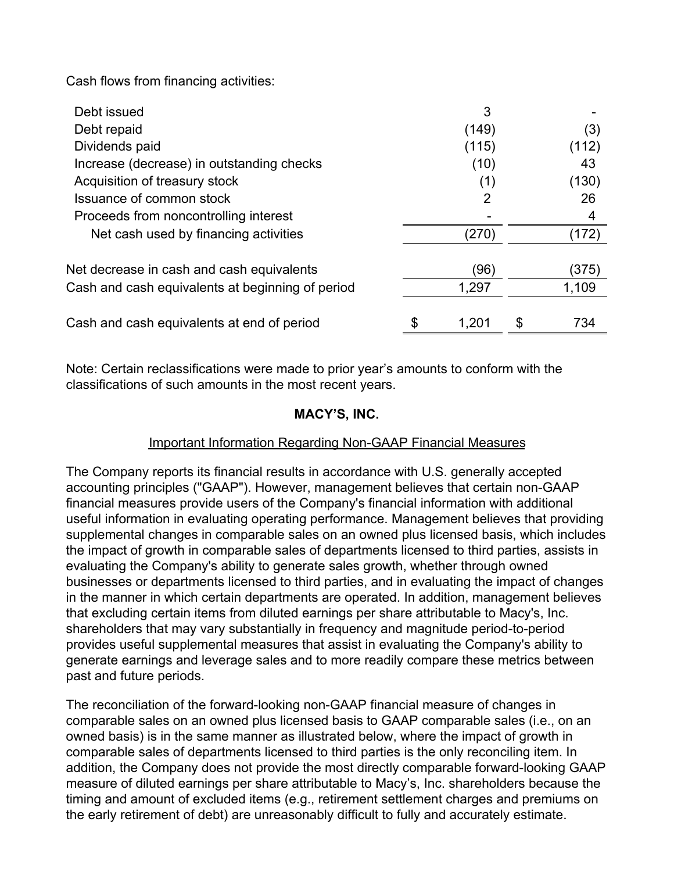Cash flows from financing activities:

| Debt issued                                      | 3     |     |       |
|--------------------------------------------------|-------|-----|-------|
| Debt repaid                                      | (149) |     | (3)   |
| Dividends paid                                   | (115) |     | (112) |
| Increase (decrease) in outstanding checks        | (10)  |     | 43    |
| Acquisition of treasury stock                    | (1)   |     | (130) |
| Issuance of common stock                         | 2     |     | 26    |
| Proceeds from noncontrolling interest            |       |     | 4     |
| Net cash used by financing activities            | (270) |     | (172) |
| Net decrease in cash and cash equivalents        | (96)  |     | (375) |
| Cash and cash equivalents at beginning of period | 1,297 |     | 1,109 |
| Cash and cash equivalents at end of period       | 1,201 | \$. | 734   |
|                                                  |       |     |       |

Note: Certain reclassifications were made to prior year's amounts to conform with the classifications of such amounts in the most recent years.

#### **MACY'S, INC.**

## Important Information Regarding Non-GAAP Financial Measures

The Company reports its financial results in accordance with U.S. generally accepted accounting principles ("GAAP"). However, management believes that certain non-GAAP financial measures provide users of the Company's financial information with additional useful information in evaluating operating performance. Management believes that providing supplemental changes in comparable sales on an owned plus licensed basis, which includes the impact of growth in comparable sales of departments licensed to third parties, assists in evaluating the Company's ability to generate sales growth, whether through owned businesses or departments licensed to third parties, and in evaluating the impact of changes in the manner in which certain departments are operated. In addition, management believes that excluding certain items from diluted earnings per share attributable to Macy's, Inc. shareholders that may vary substantially in frequency and magnitude period-to-period provides useful supplemental measures that assist in evaluating the Company's ability to generate earnings and leverage sales and to more readily compare these metrics between past and future periods.

The reconciliation of the forward-looking non-GAAP financial measure of changes in comparable sales on an owned plus licensed basis to GAAP comparable sales (i.e., on an owned basis) is in the same manner as illustrated below, where the impact of growth in comparable sales of departments licensed to third parties is the only reconciling item. In addition, the Company does not provide the most directly comparable forward-looking GAAP measure of diluted earnings per share attributable to Macy's, Inc. shareholders because the timing and amount of excluded items (e.g., retirement settlement charges and premiums on the early retirement of debt) are unreasonably difficult to fully and accurately estimate.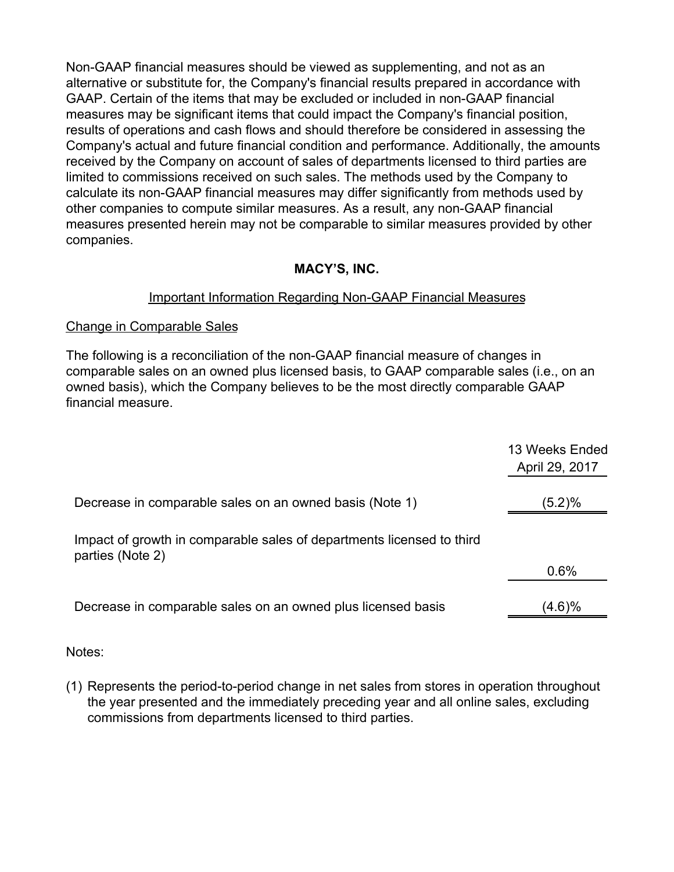Non-GAAP financial measures should be viewed as supplementing, and not as an alternative or substitute for, the Company's financial results prepared in accordance with GAAP. Certain of the items that may be excluded or included in non-GAAP financial measures may be significant items that could impact the Company's financial position, results of operations and cash flows and should therefore be considered in assessing the Company's actual and future financial condition and performance. Additionally, the amounts received by the Company on account of sales of departments licensed to third parties are limited to commissions received on such sales. The methods used by the Company to calculate its non-GAAP financial measures may differ significantly from methods used by other companies to compute similar measures. As a result, any non-GAAP financial measures presented herein may not be comparable to similar measures provided by other companies.

## **MACY'S, INC.**

#### Important Information Regarding Non-GAAP Financial Measures

#### Change in Comparable Sales

The following is a reconciliation of the non-GAAP financial measure of changes in comparable sales on an owned plus licensed basis, to GAAP comparable sales (i.e., on an owned basis), which the Company believes to be the most directly comparable GAAP financial measure.

|                                                                                           | 13 Weeks Ended<br>April 29, 2017 |
|-------------------------------------------------------------------------------------------|----------------------------------|
| Decrease in comparable sales on an owned basis (Note 1)                                   | (5.2)%                           |
| Impact of growth in comparable sales of departments licensed to third<br>parties (Note 2) | 0.6%                             |
| Decrease in comparable sales on an owned plus licensed basis                              | (4.6)%                           |

Notes:

(1) Represents the period-to-period change in net sales from stores in operation throughout the year presented and the immediately preceding year and all online sales, excluding commissions from departments licensed to third parties.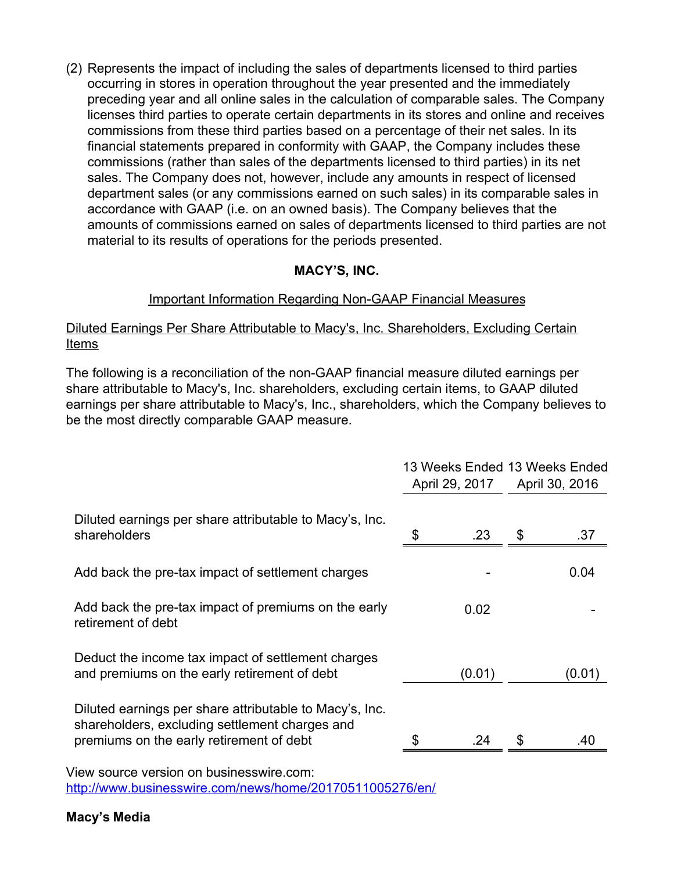(2) Represents the impact of including the sales of departments licensed to third parties occurring in stores in operation throughout the year presented and the immediately preceding year and all online sales in the calculation of comparable sales. The Company licenses third parties to operate certain departments in its stores and online and receives commissions from these third parties based on a percentage of their net sales. In its financial statements prepared in conformity with GAAP, the Company includes these commissions (rather than sales of the departments licensed to third parties) in its net sales. The Company does not, however, include any amounts in respect of licensed department sales (or any commissions earned on such sales) in its comparable sales in accordance with GAAP (i.e. on an owned basis). The Company believes that the amounts of commissions earned on sales of departments licensed to third parties are not material to its results of operations for the periods presented.

## **MACY'S, INC.**

## Important Information Regarding Non-GAAP Financial Measures

#### Diluted Earnings Per Share Attributable to Macy's, Inc. Shareholders, Excluding Certain Items

The following is a reconciliation of the non-GAAP financial measure diluted earnings per share attributable to Macy's, Inc. shareholders, excluding certain items, to GAAP diluted earnings per share attributable to Macy's, Inc., shareholders, which the Company believes to be the most directly comparable GAAP measure.

|                                                                                                                                                       | April 29, 2017 |        | 13 Weeks Ended 13 Weeks Ended<br>April 30, 2016 |        |
|-------------------------------------------------------------------------------------------------------------------------------------------------------|----------------|--------|-------------------------------------------------|--------|
| Diluted earnings per share attributable to Macy's, Inc.<br>shareholders                                                                               |                | .23    | \$                                              | .37    |
| Add back the pre-tax impact of settlement charges                                                                                                     |                |        |                                                 | 0.04   |
| Add back the pre-tax impact of premiums on the early<br>retirement of debt                                                                            |                | 0.02   |                                                 |        |
| Deduct the income tax impact of settlement charges<br>and premiums on the early retirement of debt                                                    |                | (0.01) |                                                 | (0.01) |
| Diluted earnings per share attributable to Macy's, Inc.<br>shareholders, excluding settlement charges and<br>premiums on the early retirement of debt |                | .24    |                                                 | .40    |

View source version on businesswire.com: <http://www.businesswire.com/news/home/20170511005276/en/>

#### **Macy's Media**